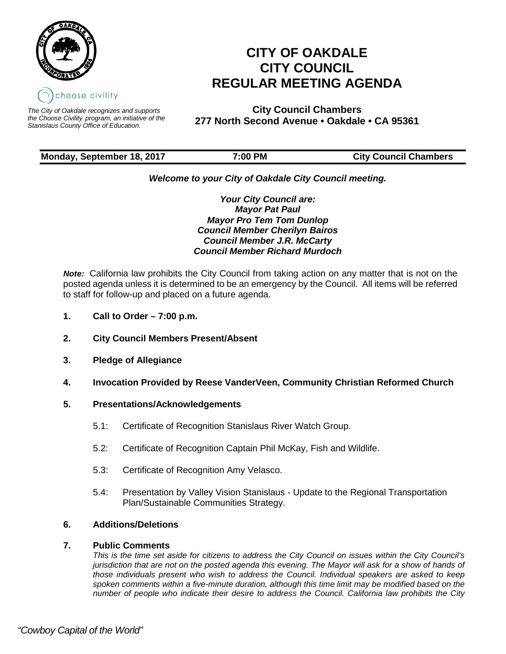

*The City of Oakdale recognizes and supports the Choose Civility program, an initiative of the Stanislaus County Office of Education.*

# **CITY OF OAKDALE CITY COUNCIL REGULAR MEETING AGENDA**

**City Council Chambers 277 North Second Avenue • Oakdale • CA 95361** 

# **Monday, September 18, 2017 7:00 PM City Council Chambers**

# *Welcome to your City of Oakdale City Council meeting.*

*Your City Council are: Mayor Pat Paul Mayor Pro Tem Tom Dunlop Council Member Cherilyn Bairos Council Member J.R. McCarty Council Member Richard Murdoch*

*Note:* California law prohibits the City Council from taking action on any matter that is not on the posted agenda unless it is determined to be an emergency by the Council. All items will be referred to staff for follow-up and placed on a future agenda.

- **1. Call to Order 7:00 p.m.**
- **2. City Council Members Present/Absent**
- **3. Pledge of Allegiance**
- **4. Invocation Provided by Reese VanderVeen, Community Christian Reformed Church**

# **5. Presentations/Acknowledgements**

- 5.1: Certificate of Recognition Stanislaus River Watch Group.
- 5.2: Certificate of Recognition Captain Phil McKay, Fish and Wildlife.
- 5.3: Certificate of Recognition Amy Velasco.
- 5.4: Presentation by Valley Vision Stanislaus Update to the Regional Transportation Plan/Sustainable Communities Strategy.

# **6. Additions/Deletions**

# **7. Public Comments**

*This is the time set aside for citizens to address the City Council on issues within the City Council's jurisdiction that are not on the posted agenda this evening. The Mayor will ask for a show of hands of those individuals present who wish to address the Council. Individual speakers are asked to keep spoken comments within a five-minute duration, although this time limit may be modified based on the number of people who indicate their desire to address the Council. California law prohibits the City*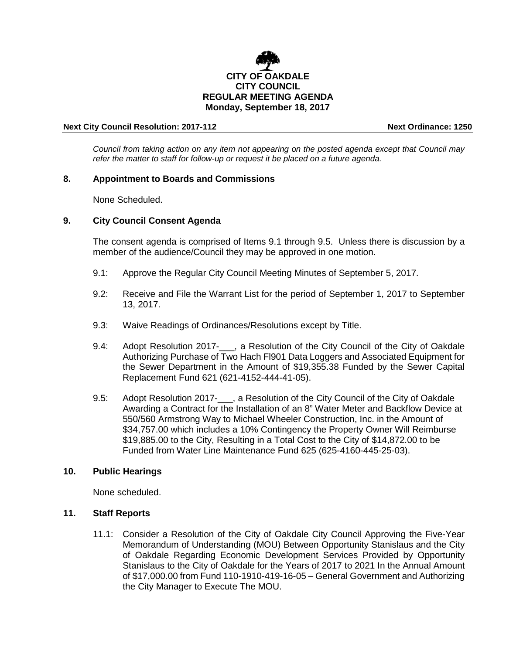

#### **Next City Council Resolution: 2017-112 Next Ordinance: 1250**

*Council from taking action on any item not appearing on the posted agenda except that Council may refer the matter to staff for follow-up or request it be placed on a future agenda.*

# **8. Appointment to Boards and Commissions**

None Scheduled.

# **9. City Council Consent Agenda**

The consent agenda is comprised of Items 9.1 through 9.5. Unless there is discussion by a member of the audience/Council they may be approved in one motion.

- 9.1: Approve the Regular City Council Meeting Minutes of September 5, 2017.
- 9.2: Receive and File the Warrant List for the period of September 1, 2017 to September 13, 2017.
- 9.3: Waive Readings of Ordinances/Resolutions except by Title.
- 9.4: Adopt Resolution 2017- , a Resolution of the City Council of the City of Oakdale Authorizing Purchase of Two Hach Fl901 Data Loggers and Associated Equipment for the Sewer Department in the Amount of \$19,355.38 Funded by the Sewer Capital Replacement Fund 621 (621-4152-444-41-05).
- 9.5: Adopt Resolution 2017- , a Resolution of the City Council of the City of Oakdale Awarding a Contract for the Installation of an 8" Water Meter and Backflow Device at 550/560 Armstrong Way to Michael Wheeler Construction, Inc. in the Amount of \$34,757.00 which includes a 10% Contingency the Property Owner Will Reimburse \$19,885.00 to the City, Resulting in a Total Cost to the City of \$14,872.00 to be Funded from Water Line Maintenance Fund 625 (625-4160-445-25-03).

#### **10. Public Hearings**

None scheduled.

# **11. Staff Reports**

11.1: Consider a Resolution of the City of Oakdale City Council Approving the Five-Year Memorandum of Understanding (MOU) Between Opportunity Stanislaus and the City of Oakdale Regarding Economic Development Services Provided by Opportunity Stanislaus to the City of Oakdale for the Years of 2017 to 2021 In the Annual Amount of \$17,000.00 from Fund 110-1910-419-16-05 – General Government and Authorizing the City Manager to Execute The MOU.